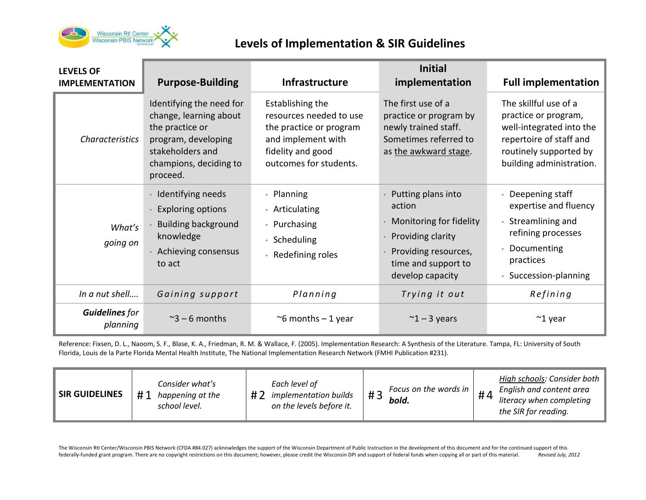

## **Levels of Implementation & SIR Guidelines**

| <b>LEVELS OF</b><br><b>IMPLEMENTATION</b> | <b>Purpose-Building</b>                                                                                                                                | <b>Infrastructure</b>                                                                                                                       | <b>Initial</b><br>implementation                                                                                                                | <b>Full implementation</b>                                                                                                                                 |
|-------------------------------------------|--------------------------------------------------------------------------------------------------------------------------------------------------------|---------------------------------------------------------------------------------------------------------------------------------------------|-------------------------------------------------------------------------------------------------------------------------------------------------|------------------------------------------------------------------------------------------------------------------------------------------------------------|
| <b>Characteristics</b>                    | Identifying the need for<br>change, learning about<br>the practice or<br>program, developing<br>stakeholders and<br>champions, deciding to<br>proceed. | Establishing the<br>resources needed to use<br>the practice or program<br>and implement with<br>fidelity and good<br>outcomes for students. | The first use of a<br>practice or program by<br>newly trained staff.<br>Sometimes referred to<br>as the awkward stage.                          | The skillful use of a<br>practice or program,<br>well-integrated into the<br>repertoire of staff and<br>routinely supported by<br>building administration. |
| What's<br>going on                        | · Identifying needs<br><b>Exploring options</b><br><b>Building background</b><br>knowledge<br>• Achieving consensus<br>to act                          | • Planning<br>• Articulating<br>• Purchasing<br>· Scheduling<br>• Redefining roles                                                          | Putting plans into<br>action<br>Monitoring for fidelity<br>Providing clarity<br>Providing resources,<br>time and support to<br>develop capacity | • Deepening staff<br>expertise and fluency<br>• Streamlining and<br>refining processes<br>• Documenting<br>practices<br>• Succession-planning              |
| In a nut shell                            | Gaining support                                                                                                                                        | Planning                                                                                                                                    | Trying it out                                                                                                                                   | Refining                                                                                                                                                   |
| <b>Guidelines</b> for<br>planning         | $\approx$ 3 – 6 months                                                                                                                                 | $\sim$ 6 months - 1 year                                                                                                                    | $\approx$ 1 – 3 years                                                                                                                           | $~^{\sim}$ 1 year                                                                                                                                          |

Reference: Fixsen, D. L., Naoom, S. F., Blase, K. A., Friedman, R. M. & Wallace, F. (2005). Implementation Research: A Synthesis of the Literature. Tampa, FL: University of South Florida, Louis de la Parte Florida Mental Health Institute, The National Implementation Research Network (FMHI Publication #231).

| <b>SIR GUIDELINES</b> | Consider what's<br>#1<br>happening at the<br>school level. | Each level of<br>$H \tau$<br><i>implementation builds</i><br>on the levels before it. | Focus on the words in<br>bold. | # $\theta$ | High schools: Consider both<br>English and content area<br>literacy when completing<br>the SIR for reading. |
|-----------------------|------------------------------------------------------------|---------------------------------------------------------------------------------------|--------------------------------|------------|-------------------------------------------------------------------------------------------------------------|
|-----------------------|------------------------------------------------------------|---------------------------------------------------------------------------------------|--------------------------------|------------|-------------------------------------------------------------------------------------------------------------|

The Wisconsin RtI Center/Wisconsin PBIS Network (CFDA #84.027) acknowledges the support of the Wisconsin Department of Public Instruction in the development of this document and for the continued support of this federally-funded grant program. There are no copyright restrictions on this document; however, please credit the Wisconsin DPI and support of federal funds when copying all or part of this material. *Revised July, 2012*